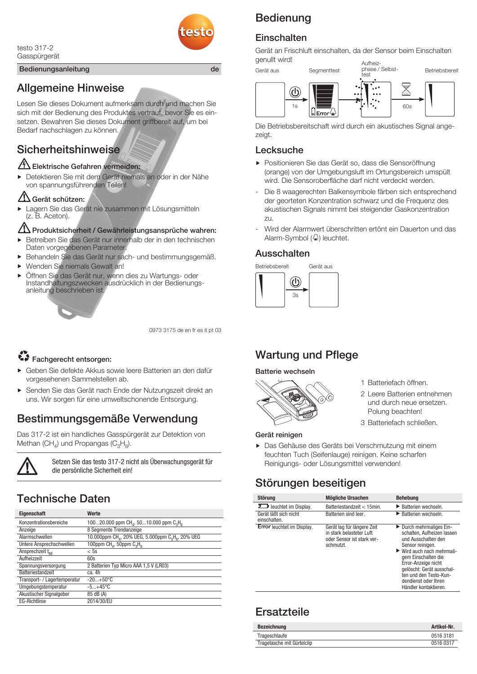

#### Bedienungsanleitung der der aufgegenden der aufgegenden der aufgegenden der aufgegenden der aufgegenden der aufgegenden der aufgegenden der aufgegenden anteren der aufgegenden der aufgegenden anteren anteren der aufgegende

### Allgemeine Hinweise

Lesen Sie dieses Dokument aufmerksam durch und machen Sie sich mit der Bedienung des Produktes vertraut, bevor Sie es einsetzen. Bewahren Sie dieses Dokument griffbereit auf, um bei Bedarf nachschlagen zu können.

### Sicherheitshinweise

#### Elektrische Gefahren vermeiden:

 $\blacksquare$ Detektieren Sie mit dem Gerät niemals an oder in der Nähe von spannungsführenden Teilen!

#### Gerät schützen:

Lagern Sie das Gerät nie zusammen mit Lösungsmitteln (z. B. Aceton).

#### Produktsicherheit / Gewährleistungsansprüche wahren:

- Betreiben Sie das Gerät nur innerhalb der in den technischen  $\blacksquare$ Daten vorgegebenen Parameter.
- Behandeln Sie das Gerät nur sach- und bestimmungsgemäß.
- Wenden Sie niemals Gewalt an!  $\mathbf{h}$
- Öffnen Sie das Gerät nur, wenn dies zu Wartungs- oder Instandhaltungszwecken ausdrücklich in der Bedienungsanleitung beschrieben ist.

0973 3175 de en fr es it pt 03

#### ŤЗ Fachgerecht entsorgen:

- Geben Sie defekte Akkus sowie leere Batterien an den dafür vorgesehenen Sammelstellen ab.
- Senden Sie das Gerät nach Ende der Nutzungszeit direkt an uns. Wir sorgen für eine umweltschonende Entsorgung.

### Bestimmungsgemäße Verwendung

Das 317-2 ist ein handliches Gasspürgerät zur Detektion von Methan (CH<sub>4</sub>) und Propangas (C<sub>3</sub>H<sub>8</sub>).



Setzen Sie das testo 317-2 nicht als Überwachungsgerät für die persönliche Sicherheit ein!

### Technische Daten

| Eigenschaft                  | Werte                                                                                 |
|------------------------------|---------------------------------------------------------------------------------------|
| Konzentrationsbereiche       | 10020.000 ppm CH <sub>4</sub> , 5010.000 ppm C <sub>2</sub> H <sub>9</sub>            |
| Anzeige                      | 8 Segmente Trendanzeige                                                               |
| Alarmschwellen               | 10.000ppm CH <sub>4</sub> , 20% UEG, 5.000ppm C <sub>3</sub> H <sub>8</sub> , 20% UEG |
| Untere Ansprechschwellen     | 100ppm CH <sub>4</sub> , 50ppm $C_3H_8$                                               |
| Ansprechzeit too             | < 5s                                                                                  |
| Aufheizzeit                  | 60s                                                                                   |
| Spannungsversorgung          | 2 Batterien Typ Micro AAA 1,5 V (LR03)                                                |
| Batteriestandzeit            | ca. 4h                                                                                |
| Transport- / Lagertemperatur | $-20+50$ °C                                                                           |
| Umgebungstemperatur          | $-5+45$ °C                                                                            |
| Akustischer Signalgeber      | 85 dB (A)                                                                             |
| <b>EG-Richtlinie</b>         | 2014/30/EU                                                                            |

# Bedienung

### **Einschalten**

Gerät an Frischluft einschalten, da der Sensor beim Einschalten genullt wird!



Die Betriebsbereitschaft wird durch ein akustisches Signal angezeigt.

### Lecksuche

- Positionieren Sie das Gerät so, dass die Sensoröffnung (orange) von der Umgebungsluft im Ortungsbereich umspült wird. Die Sensoroberfläche darf nicht verdeckt werden.
- Die 8 waagerechten Balkensymbole färben sich entsprechend der georteten Konzentration schwarz und die Frequenz des akustischen Signals nimmt bei steigender Gaskonzentration zu.
- Wird der Alarmwert überschritten ertönt ein Dauerton und das Alarm-Symbol  $(\mathbb{Q})$  leuchtet.

#### Ausschalten



### Wartung und Pflege

#### Batterie wechseln



- 1 Batteriefach öffnen.
- 2 Leere Batterien entnehmen und durch neue ersetzen. Polung beachten!
- 3 Batteriefach schließen.

#### Gerät reinigen

Das Gehäuse des Geräts bei Verschmutzung mit einem feuchten Tuch (Seifenlauge) reinigen. Keine scharfen Reinigungs- oder Lösungsmittel verwenden!

### Störungen beseitigen

| <b>Störung</b>                        | Mögliche Ursachen                                                                                 | <b>Behebung</b>                                                                                                                                                                                                                                                                                         |
|---------------------------------------|---------------------------------------------------------------------------------------------------|---------------------------------------------------------------------------------------------------------------------------------------------------------------------------------------------------------------------------------------------------------------------------------------------------------|
| leuchtet im Display.                  | Batteriestandzeit < 15min.                                                                        | $\blacktriangleright$ Batterien wechseln.                                                                                                                                                                                                                                                               |
| Gerät läßt sich nicht<br>einschalten. | Batterien sind leer.                                                                              | $\blacktriangleright$ Batterien wechseln.                                                                                                                                                                                                                                                               |
| <b>Error</b> leuchtet im Display.     | Gerät lag für längere Zeit<br>in stark belasteter Luft<br>oder Sensor ist stark ver-<br>schmutzt. | Durch mehrmaliges Ein-<br>schalten. Aufheizen lassen<br>und Ausschalten den<br>Sensor reinigen.<br>$\blacktriangleright$ Wird auch nach mehrmali-<br>gem Einschalten die<br>Error-Anzeige nicht<br>gelöscht: Gerät ausschal-<br>ten und den Testo-Kun-<br>dendienst oder Ihren<br>Händler kontaktieren. |

### **Ersatzteile**

| <b>Bezeichnung</b>         | Artikel-Nr. |
|----------------------------|-------------|
| Trageschlaufe              | 0516 3181   |
| Tragetasche mit Gürtelclip | 0516 0317   |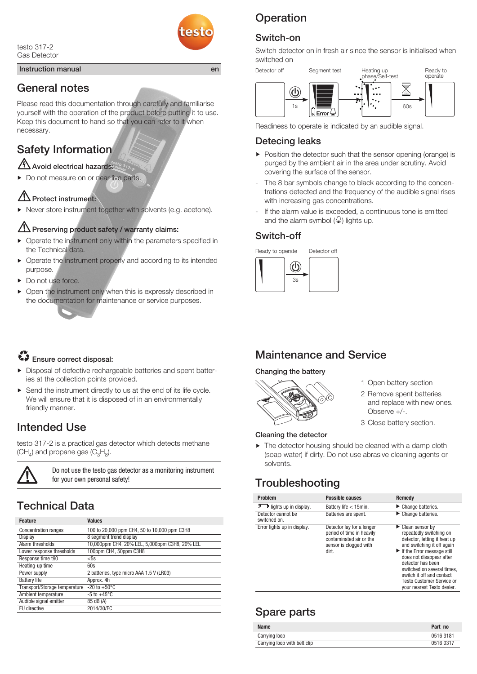

testo 317-2 Gas Detector

### General notes

Please read this documentation through carefully and familiarise yourself with the operation of the product before putting it to use. Keep this document to hand so that you can refer to it when necessary.

## Safety Information

### Avoid electrical hazards:

Do not measure on or near live parts.

### Protect instrument:

▶ Never store instrument together with solvents (e.g. acetone).

### Preserving product safety / warranty claims:

- ▶ Operate the instrument only within the parameters specified in the Technical data.
- Operate the instrument properly and according to its intended purpose.
- Do not use force.
- ▶ Open the instrument only when this is expressly described in the documentation for maintenance or service purposes.

#### ¥Э Ensure correct disposal:

- Disposal of defective rechargeable batteries and spent batteries at the collection points provided.
- Send the instrument directly to us at the end of its life cycle.  $\blacktriangleright$ We will ensure that it is disposed of in an environmentally friendly manner.

### Intended Use

testo 317-2 is a practical gas detector which detects methane  $(CH<sub>a</sub>)$  and propane gas  $(C<sub>a</sub>H<sub>a</sub>)$ .



Do not use the testo gas detector as a monitoring instrument for your own personal safety!

## Technical Data

| Feature                       | Values                                         |
|-------------------------------|------------------------------------------------|
| <b>Concentration ranges</b>   | 100 to 20,000 ppm CH4, 50 to 10,000 ppm C3H8   |
| Display                       | 8 segment trend display                        |
| Alarm thresholds              | 10,000ppm CH4, 20% LEL, 5,000ppm C3H8, 20% LEL |
| Lower response thresholds     | 100ppm CH4, 50ppm C3H8                         |
| Response time t90             | $<$ 5s                                         |
| Heating-up time               | 60s                                            |
| Power supply                  | 2 batteries, type micro AAA 1.5 V (LR03)       |
| <b>Battery life</b>           | Approx. 4h                                     |
| Transport/Storage temperature | $-20$ to $+50^{\circ}$ C                       |
| Ambient temperature           | $-5$ to $+45^{\circ}$ C                        |
| Audible signal emitter        | 85 dB (A)                                      |
| EU directive                  | 2014/30/EC                                     |

# **Operation**

### Switch-on

Switch detector on in fresh air since the sensor is initialised when switched on



Readiness to operate is indicated by an audible signal.

### Detecing leaks

- $\triangleright$  Position the detector such that the sensor opening (orange) is purged by the ambient air in the area under scrutiny. Avoid covering the surface of the sensor.
- The 8 bar symbols change to black according to the concentrations detected and the frequency of the audible signal rises with increasing gas concentrations.
- If the alarm value is exceeded, a continuous tone is emitted and the alarm symbol  $(\textcircled{\textcircled{\scriptsize\star}})$  lights up.

#### Switch-off

Ready to operate Detector off



### Maintenance and Service

#### Changing the battery



### Cleaning the detector

 $\blacktriangleright$  The detector housing should be cleaned with a damp cloth (soap water) if dirty. Do not use abrasive cleaning agents or solvents.

1 Open battery section 2 Remove spent batteries and replace with new ones.

Observe +/-. 3 Close battery section.

## **Troubleshooting**

| <b>Problem</b>                     | Possible causes                                                                                                      | Remedy                                                                                                                                                                                                                                                                                                                                                           |
|------------------------------------|----------------------------------------------------------------------------------------------------------------------|------------------------------------------------------------------------------------------------------------------------------------------------------------------------------------------------------------------------------------------------------------------------------------------------------------------------------------------------------------------|
| $\sum$ lights up in display.       | Battery life $<$ 15min.                                                                                              | $\blacktriangleright$ Change batteries.                                                                                                                                                                                                                                                                                                                          |
| Detector cannot be<br>switched on. | Batteries are spent.                                                                                                 | $\blacktriangleright$ Change batteries.                                                                                                                                                                                                                                                                                                                          |
| Error lights up in display.        | Detector lay for a longer<br>period of time in heavily<br>contaminated air or the<br>sensor is clogged with<br>dirt. | $\blacktriangleright$ Clean sensor by<br>repeatedly switching on<br>detector, letting it heat up<br>and switching it off again<br>$\blacktriangleright$ If the Error message still<br>does not disappear after<br>detector has been<br>switched on several times.<br>switch it off and contact<br><b>Testo Customer Service or</b><br>your nearest Testo dealer. |

### Spare parts

| <b>Name</b>                  | Part no   |
|------------------------------|-----------|
| Carrying loop                | 0516 3181 |
| Carrying loop with belt clip | 0516 0317 |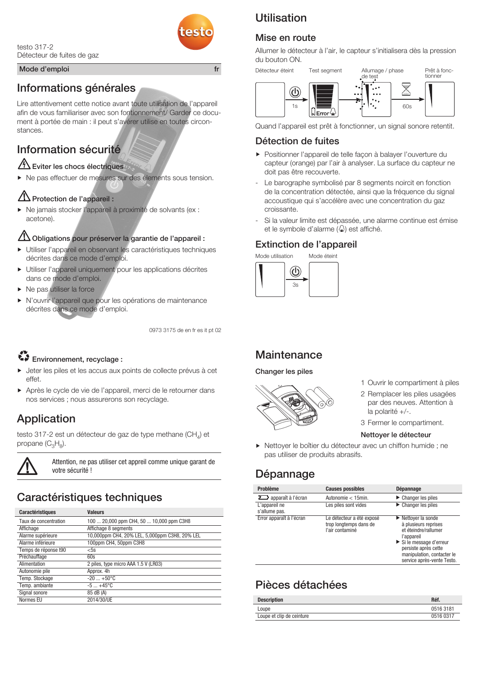

testo 317-2 Détecteur de fuites de gaz

#### Mode d'emploi fr Allumage / phase / phase / phase / phase / phase / phase / phase / phase / phase / phase / phase / phase / phase / phase / phase / phase / phase / phase / phase / phase / phase / phase / phase / phase / ph

### Informations générales

Lire attentivement cette notice avant toute utilisation de l'appareil afin de vous familiariser avec son fontionnement/ Garder ce document à portée de main : il peut s'avérer utilise en toutes circonstances.

### Information sécurité

#### $4$  Eviter les chocs électriques

Ne pas effectuer de mesures sur des élements sous tension.

#### Protection de l'appareil :

Ne jamais stocker l'appareil à proximité de solvants (ex : acetone).

#### <u>/N</u> Obligations pour préserver la garantie de l'appareil :

- Utiliser l'appareil en observant les caractéristiques techniques  $\mathbf{r}$ décrites dans ce mode d'emploi.
- Utiliser l'appareil uniquement pour les applications décrites dans ce mode d'emploi.
- Ne pas utiliser la force
- N'ouvrir l'appareil que pour les opérations de maintenance décrites dans ce mode d'emploi.

0973 3175 de en fr es it pt 02

#### ¥Э Environnement, recyclage :

- Jeter les piles et les accus aux points de collecte prévus à cet effet.
- Après le cycle de vie de l'appareil, merci de le retourner dans nos services ; nous assurerons son recyclage.

### Application

testo 317-2 est un détecteur de gaz de type methane (CH<sub>4</sub>) et propane  $(C_3H_8)$ .



Attention, ne pas utiliser cet appreil comme unique garant de votre sécurité !

### Caractéristiques techniques

| <b>Caractéristiques</b> | <b>Valeurs</b>                                 |
|-------------------------|------------------------------------------------|
| Taux de concentration   | 100  20,000 ppm CH4, 50  10,000 ppm C3H8       |
| Affichage               | Affichage 8 segments                           |
| Alarme supérieure       | 10,000ppm CH4, 20% LEL, 5,000ppm C3H8, 20% LEL |
| Alarme inférieure       | 100ppm CH4, 50ppm C3H8                         |
| Temps de réponse t90    | < 5s                                           |
| Préchauffage            | 60s                                            |
| Alimentation            | 2 piles, type micro AAA 1.5 V (LR03)           |
| Autonomie pile          | Approx. 4h                                     |
| Temp. Stockage          | $-20$ $+50^{\circ}$ C                          |
| Temp. ambiante          | $-5+45$ °C                                     |
| Signal sonore           | 85 dB (A)                                      |
| Normes EU               | 2014/30/UE                                     |

# Utilisation

### Mise en route

Allumer le détecteur à l'air, le capteur s'initialisera dès la pression du bouton ON.



Quand l'appareil est prêt à fonctionner, un signal sonore retentit.

### Détection de fuites

- Positionner l'appareil de telle façon à balayer l'ouverture du capteur (orange) par l'air à analyser. La surface du capteur ne doit pas être recouverte.
- Le barographe symbolisé par 8 segments noircit en fonction de la concentration détectée, ainsi que la fréquence du signal accoustique qui s'accélère avec une concentration du gaz croissante.
- Si la valeur limite est dépassée, une alarme continue est émise et le symbole d'alarme  $(\mathcal{L})$  est affiché.

### Extinction de l'appareil



### **Maintenance**

#### Changer les piles



- 1 Ouvrir le compartiment à piles
- 2 Remplacer les piles usagées par des neuves. Attention à la polarité +/-.
- 3 Fermer le compartiment.

#### Nettoyer le détecteur

Nettoyer le boîtier du détecteur avec un chiffon humide ; ne pas utiliser de produits abrasifs.

### Dépannage

| <b>Problème</b>                | <b>Causes possibles</b>                                                | <b>Dépannage</b>                                                                                                                                                                              |
|--------------------------------|------------------------------------------------------------------------|-----------------------------------------------------------------------------------------------------------------------------------------------------------------------------------------------|
| apparaît à l'écran             | Autonomie < 15min.                                                     | $\blacktriangleright$ Changer les piles                                                                                                                                                       |
| L'appareil ne<br>s'allume pas. | Les piles sont vides                                                   | $\blacktriangleright$ Changer les piles                                                                                                                                                       |
| Error apparaît à l'écran       | Le détecteur a été exposé<br>trop longtemps dans de<br>l'air contaminé | Nettoyer la sonde<br>à plusieurs reprises<br>et éteindre/rallumer<br>l'appareil<br>Si le message d'erreur<br>persiste après cette<br>manipulation, contacter le<br>service après-vente Testo. |

### Pièces détachées

| <b>Description</b>        | Réf.      |
|---------------------------|-----------|
| Loupe                     | 05163181  |
| Loupe et clip de ceinture | 0516 0317 |

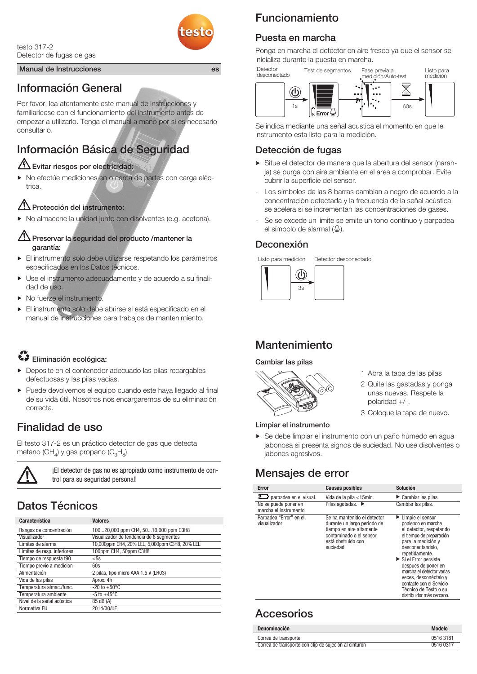

testo 317-2 Detector de fugas de gas

#### Manual de Instrucciones es Fase previa a Fase previa a Fase previa a Fase previa a Fase previa a Fase previa a

### Información General

Por favor, lea atentamente este manual de instrucciones y familiarícese con el funcionamiento del instrumento antes de empezar a utilizarlo. Tenga el manual a mano por si es necesario consultarlo.

## Información Básica de Seguridad

#### Evitar riesgos por electricidad:

▶ No efectúe mediciones en o cerca de partes con carga eléctrica.

### Protección del instrumento:

 $\blacktriangleright$  No almacene la unidad junto con disolventes (e.g. acetona).

#### Preservar la seguridad del producto /mantener la garantía:

- El instrumento solo debe utilizarse respetando los parámetros especificados en los Datos técnicos.
- Use el instrumento adecuadamente y de acuerdo a su finalidad de uso.
- No fuerze el instrumento.
- $\blacktriangleright$ El instrumento solo debe abrirse si está especificado en el manual de instrucciones para trabajos de mantenimiento.

#### Ŵ Eliminación ecológica:

- Deposite en el contenedor adecuado las pilas recargables defectuosas y las pilas vacias.
- Puede devolvernos el equipo cuando este haya llegado al final  $\blacktriangleright$ de su vida útil. Nosotros nos encargaremos de su eliminación correcta.

### Finalidad de uso

El testo 317-2 es un práctico detector de gas que detecta metano (CH<sub>4</sub>) y gas propano (C<sub>3</sub>H<sub>a</sub>).



¡El detector de gas no es apropiado como instrumento de control para su seguridad personal!

# Datos Técnicos

| Característica              | <b>Valores</b>                                 |
|-----------------------------|------------------------------------------------|
| Rangos de concentración     | 10020,000 ppm CH4, 5010,000 ppm C3H8           |
| Visualizador                | Visualizador de tendencia de 8 segmentos       |
| Límites de alarma           | 10,000ppm CH4, 20% LEL, 5,000ppm C3H8, 20% LEL |
| Límites de resp. inferiores | 100ppm CH4, 50ppm C3H8                         |
| Tiempo de respuesta t90     | $<$ 5s                                         |
| Tiempo previo a medición    | 60s                                            |
| Alimentación                | 2 pilas, tipo micro AAA 1.5 V (LR03)           |
| Vida de las pilas           | Aprox. 4h                                      |
| Temperatura almac./func.    | $-20$ to $+50^{\circ}$ C                       |
| Temperatura ambiente        | $-5$ to $+45^{\circ}$ C                        |
| Nivel de la señal acústica  | 85 dB (A)                                      |
| Normativa EU                | 2014/30/UE                                     |

## Funcionamiento

### Puesta en marcha

Ponga en marcha el detector en aire fresco ya que el sensor se inicializa durante la puesta en marcha.



Se indica mediante una señal acustica el momento en que le instrumento esta listo para la medición.

### Detección de fugas

- Situe el detector de manera que la abertura del sensor (naranja) se purga con aire ambiente en el area a comprobar. Evite cubrir la superfície del sensor.
- Los símbolos de las 8 barras cambian a negro de acuerdo a la concentración detectada y la frecuencia de la señal acústica se acelera si se incrementan las concentraciones de gases.
- Se se excede un límite se emite un tono contínuo y parpadea el símbolo de alarmal  $(\frac{\mathcal{L}}{2})$ .

### Deconexión



### Mantenimiento

#### Cambiar las pilas



#### Limpiar el instrumento

Se debe limpiar el instrumento con un paño húmedo en agua jabonosa si presenta signos de suciedad. No use disolventes o jabones agresivos.

1 Abra la tapa de las pilas 2 Quite las gastadas y ponga unas nuevas. Respete la

3 Coloque la tapa de nuevo.

polaridad +/-.

### Mensajes de error

| Error                                                                    | <b>Causas posibles</b>                                                                                                                               | Solución                                                                                                                                                                                                                                                                                                                                                                                |
|--------------------------------------------------------------------------|------------------------------------------------------------------------------------------------------------------------------------------------------|-----------------------------------------------------------------------------------------------------------------------------------------------------------------------------------------------------------------------------------------------------------------------------------------------------------------------------------------------------------------------------------------|
| parpadea en el visual.<br>No se puede poner en<br>marcha el instrumento. | Vida de la pila <15min.<br>Pilas agotadas. I                                                                                                         | $\blacktriangleright$ Cambiar las pilas.<br>Cambiar las pilas.                                                                                                                                                                                                                                                                                                                          |
| Parpadea "Error" en el.<br>visualizador                                  | Se ha mantenido el detector<br>durante un largo periodo de<br>tiempo en aire altamente<br>contaminado o el sensor<br>está obstruido con<br>suciedad. | $\blacktriangleright$ Limpie el sensor<br>poniendo en marcha<br>el detector, respetando<br>el tiempo de preparación<br>para la medición y<br>desconectandolo.<br>repetidamente.<br>$\triangleright$ Si el Error persiste<br>despues de poner en<br>marcha el detector varias<br>veces, desconéctelo y<br>contacte con el Servicio<br>Técnico de Testo o su<br>distribuidor más cercano. |

### Accesorios

| <b>Denominación</b>                                   | <b>Modelo</b> |
|-------------------------------------------------------|---------------|
| Correa de transporte                                  | 0516 3181     |
| Correa de transporte con clip de sujeción al cinturón | 0516 0317     |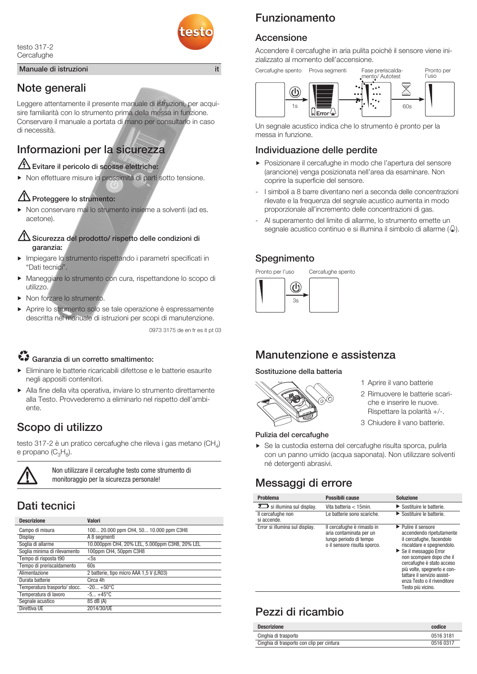

testo 317-2 **Cercafughe** 

### Note generali

Leggere attentamente il presente manuale di istruzioni, per acquisire familiarità con lo strumento prima della messa in funzione. Conservare il manuale a portata di mano per consultarlo in caso di necessità.

### Informazioni per la sicurezza

#### $\sqrt{4}$  Evitare il pericolo di scosse elettriche:

Non effettuare misure in prossimità di parti sotto tensione.

#### Proteggere lo strumento:

Non conservare mai lo strumento insieme a solventi (ad es. k. acetone).

#### Sicurezza del prodotto/ rispetto delle condizioni di garanzia:

- Impiegare lo strumento rispettando i parametri specificati in "Dati tecnici".
- Maneggiare lo strumento con cura, rispettandone lo scopo di utilizzo.
- Non forzare lo strumento.
- Aprire lo strumento solo se tale operazione è espressamente  $\blacktriangleright$ descritta nel manuale di istruzioni per scopi di manutenzione.

0973 3175 de en fr es it pt 03

#### ΥŽ Garanzia di un corretto smaltimento:

- Eliminare le batterie ricaricabili difettose e le batterie esaurite negli appositi contenitori.
- Alla fine della vita operativa, inviare lo strumento direttamente  $\blacktriangleright$ alla Testo. Provvederemo a eliminarlo nel rispetto dell'ambiente.

### Scopo di utilizzo

testo 317-2 è un pratico cercafughe che rileva i gas metano (CH<sub>4</sub>) e propano  $(C_3H_8)$ .



Non utilizzare il cercafughe testo come strumento di monitoraggio per la sicurezza personale!

## Dati tecnici

| <b>Descrizione</b>           | Valori                                         |
|------------------------------|------------------------------------------------|
| Campo di misura              | 100 20.000 ppm CH4, 50 10.000 ppm C3H8         |
| Display                      | A 8 segmenti                                   |
| Soglia di allarme            | 10.000ppm CH4, 20% LEL, 5.000ppm C3H8, 20% LEL |
| Soglia minima di rilevamento | 100ppm CH4, 50ppm C3H8                         |
| Tempo di risposta t90        | $<$ 5s                                         |
| Tempo di preriscaldamento    | 60s                                            |
| Alimentazione                | 2 batterie, tipo micro AAA 1,5 V (LR03)        |
| Durata batterie              | Circa 4h                                       |
| Temperatura trasporto/stocc. | $-20 + 50^{\circ}C$                            |
| Temperatura di lavoro        | $-5+45$ °C                                     |
| Segnale acustico             | 85 dB (A)                                      |
| Direttiva UE                 | 2014/30/UE                                     |

# Funzionamento

### Accensione

Accendere il cercafughe in aria pulita poiché il sensore viene inizializzato al momento dell'accensione.

**Manuale di istruzioni** in the controller controller controller controller per care prova segmenti Fase preriscalda- Pronto per **Fronto per controller** controller controller controller controller controller controller cont l'uso Fase preriscalda-<br>mento/ Autotest



Un segnale acustico indica che lo strumento è pronto per la messa in funzione.

### Individuazione delle perdite

- Posizionare il cercafughe in modo che l'apertura del sensore (arancione) venga posizionata nell'area da esaminare. Non coprire la superficie del sensore.
- I simboli a 8 barre diventano neri a seconda delle concentrazioni rilevate e la frequenza del segnale acustico aumenta in modo proporzionale all'incremento delle concentrazioni di gas.
- Al superamento del limite di allarme, lo strumento emette un segnale acustico continuo e si illumina il simbolo di allarme  $(\mathcal{L}).$

### Spegnimento



### Manutenzione e assistenza

#### Sostituzione della batteria



#### Pulizia del cercafughe

Se la custodia esterna del cercafughe risulta sporca, pulirla con un panno umido (acqua saponata). Non utilizzare solventi né detergenti abrasivi.

1 Aprire il vano batterie 2 Rimuovere le batterie scariche e inserire le nuove. Rispettare la polarità +/-. 3 Chiudere il vano batterie.

## Messaggi di errore

| Problema                         | Possibili cause                                                                                                 | Soluzione                                                                                                                                                                                                                                                                                                                        |
|----------------------------------|-----------------------------------------------------------------------------------------------------------------|----------------------------------------------------------------------------------------------------------------------------------------------------------------------------------------------------------------------------------------------------------------------------------------------------------------------------------|
| si illumina sul display.         | Vita batteria < 15min.                                                                                          | $\triangleright$ Sostituire le batterie.                                                                                                                                                                                                                                                                                         |
| Il cercafughe non<br>si accende. | Le batterie sono scariche.                                                                                      | Sostituire le batterie.                                                                                                                                                                                                                                                                                                          |
| Error si illumina sul display.   | Il cercafughe è rimasto in<br>aria contaminata per un<br>lungo periodo di tempo<br>o il sensore risulta sporco. | $\blacktriangleright$ Pulire il sensore<br>accendendo ripetutamente<br>il cercafughe, facendolo<br>riscaldare e spegnendolo.<br>Se il messaggio Error<br>non scompare dopo che il<br>cercafughe è stato acceso<br>più volte, spegnerlo e con-<br>tattare il servizio assist-<br>enza Testo o il rivenditore<br>Testo più vicino. |

## Pezzi di ricambio

| <b>Descrizione</b>                        | codice    |
|-------------------------------------------|-----------|
| Cinghia di trasporto                      | 0516 3181 |
| Cinghia di trasporto con clip per cintura | 0516 0317 |